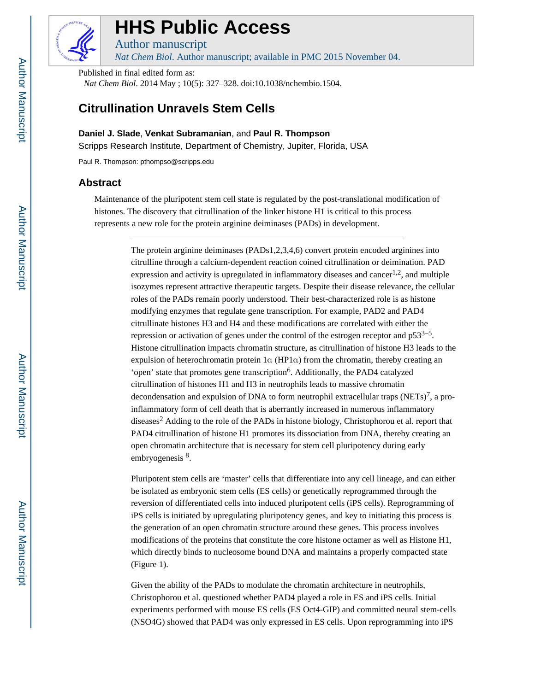

# **HHS Public Access**

Author manuscript

*Nat Chem Biol*. Author manuscript; available in PMC 2015 November 04.

Published in final edited form as:

*Nat Chem Biol*. 2014 May ; 10(5): 327–328. doi:10.1038/nchembio.1504.

## **Citrullination Unravels Stem Cells**

**Daniel J. Slade**, **Venkat Subramanian**, and **Paul R. Thompson**

Scripps Research Institute, Department of Chemistry, Jupiter, Florida, USA

Paul R. Thompson: pthompso@scripps.edu

## **Abstract**

Maintenance of the pluripotent stem cell state is regulated by the post-translational modification of histones. The discovery that citrullination of the linker histone H1 is critical to this process represents a new role for the protein arginine deiminases (PADs) in development.

> The protein arginine deiminases (PADs1,2,3,4,6) convert protein encoded arginines into citrulline through a calcium-dependent reaction coined citrullination or deimination. PAD expression and activity is upregulated in inflammatory diseases and cancer<sup>1,2</sup>, and multiple isozymes represent attractive therapeutic targets. Despite their disease relevance, the cellular roles of the PADs remain poorly understood. Their best-characterized role is as histone modifying enzymes that regulate gene transcription. For example, PAD2 and PAD4 citrullinate histones H3 and H4 and these modifications are correlated with either the repression or activation of genes under the control of the estrogen receptor and  $p53^{3-5}$ . Histone citrullination impacts chromatin structure, as citrullination of histone H3 leads to the expulsion of heterochromatin protein 1α (HP1α) from the chromatin, thereby creating an 'open' state that promotes gene transcription<sup>6</sup>. Additionally, the PAD4 catalyzed citrullination of histones H1 and H3 in neutrophils leads to massive chromatin decondensation and expulsion of DNA to form neutrophil extracellular traps (NETs)<sup>7</sup>, a proinflammatory form of cell death that is aberrantly increased in numerous inflammatory diseases<sup>2</sup> Adding to the role of the PADs in histone biology, Christophorou et al. report that PAD4 citrullination of histone H1 promotes its dissociation from DNA, thereby creating an open chromatin architecture that is necessary for stem cell pluripotency during early embryogenesis <sup>8</sup>.

> Pluripotent stem cells are 'master' cells that differentiate into any cell lineage, and can either be isolated as embryonic stem cells (ES cells) or genetically reprogrammed through the reversion of differentiated cells into induced pluripotent cells (iPS cells). Reprogramming of iPS cells is initiated by upregulating pluripotency genes, and key to initiating this process is the generation of an open chromatin structure around these genes. This process involves modifications of the proteins that constitute the core histone octamer as well as Histone H1, which directly binds to nucleosome bound DNA and maintains a properly compacted state (Figure 1).

> Given the ability of the PADs to modulate the chromatin architecture in neutrophils, Christophorou et al. questioned whether PAD4 played a role in ES and iPS cells. Initial experiments performed with mouse ES cells (ES Oct4-GIP) and committed neural stem-cells (NSO4G) showed that PAD4 was only expressed in ES cells. Upon reprogramming into iPS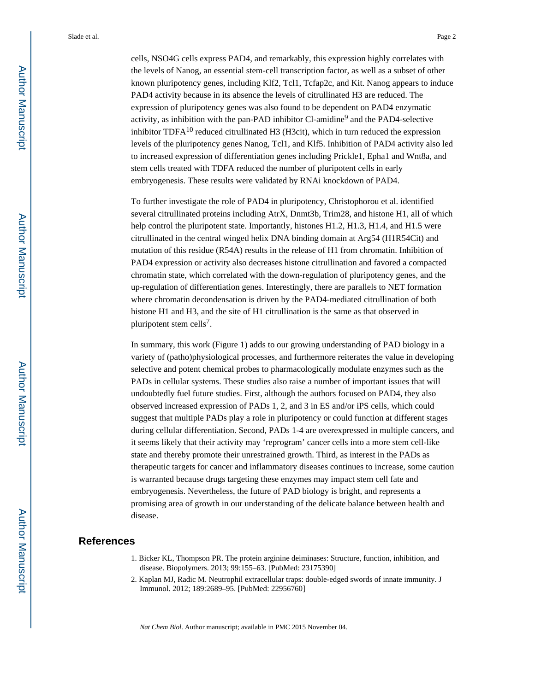Slade et al. Page 2

cells, NSO4G cells express PAD4, and remarkably, this expression highly correlates with the levels of Nanog, an essential stem-cell transcription factor, as well as a subset of other known pluripotency genes, including Klf2, Tcl1, Tcfap2c, and Kit. Nanog appears to induce PAD4 activity because in its absence the levels of citrullinated H3 are reduced. The expression of pluripotency genes was also found to be dependent on PAD4 enzymatic activity, as inhibition with the pan-PAD inhibitor Cl-amidine<sup>9</sup> and the PAD4-selective inhibitor TDFA $^{10}$  reduced citrullinated H3 (H3cit), which in turn reduced the expression levels of the pluripotency genes Nanog, Tcl1, and Klf5. Inhibition of PAD4 activity also led to increased expression of differentiation genes including Prickle1, Epha1 and Wnt8a, and stem cells treated with TDFA reduced the number of pluripotent cells in early embryogenesis. These results were validated by RNAi knockdown of PAD4.

To further investigate the role of PAD4 in pluripotency, Christophorou et al. identified several citrullinated proteins including AtrX, Dnmt3b, Trim28, and histone H1, all of which help control the pluripotent state. Importantly, histones H1.2, H1.3, H1.4, and H1.5 were citrullinated in the central winged helix DNA binding domain at Arg54 (H1R54Cit) and mutation of this residue (R54A) results in the release of H1 from chromatin. Inhibition of PAD4 expression or activity also decreases histone citrullination and favored a compacted chromatin state, which correlated with the down-regulation of pluripotency genes, and the up-regulation of differentiation genes. Interestingly, there are parallels to NET formation where chromatin decondensation is driven by the PAD4-mediated citrullination of both histone H1 and H3, and the site of H1 citrullination is the same as that observed in pluripotent stem cells<sup>7</sup>.

In summary, this work (Figure 1) adds to our growing understanding of PAD biology in a variety of (patho)physiological processes, and furthermore reiterates the value in developing selective and potent chemical probes to pharmacologically modulate enzymes such as the PADs in cellular systems. These studies also raise a number of important issues that will undoubtedly fuel future studies. First, although the authors focused on PAD4, they also observed increased expression of PADs 1, 2, and 3 in ES and/or iPS cells, which could suggest that multiple PADs play a role in pluripotency or could function at different stages during cellular differentiation. Second, PADs 1-4 are overexpressed in multiple cancers, and it seems likely that their activity may 'reprogram' cancer cells into a more stem cell-like state and thereby promote their unrestrained growth. Third, as interest in the PADs as therapeutic targets for cancer and inflammatory diseases continues to increase, some caution is warranted because drugs targeting these enzymes may impact stem cell fate and embryogenesis. Nevertheless, the future of PAD biology is bright, and represents a promising area of growth in our understanding of the delicate balance between health and disease.

### **References**

- 1. Bicker KL, Thompson PR. The protein arginine deiminases: Structure, function, inhibition, and disease. Biopolymers. 2013; 99:155–63. [PubMed: 23175390]
- 2. Kaplan MJ, Radic M. Neutrophil extracellular traps: double-edged swords of innate immunity. J Immunol. 2012; 189:2689–95. [PubMed: 22956760]

*Nat Chem Biol*. Author manuscript; available in PMC 2015 November 04.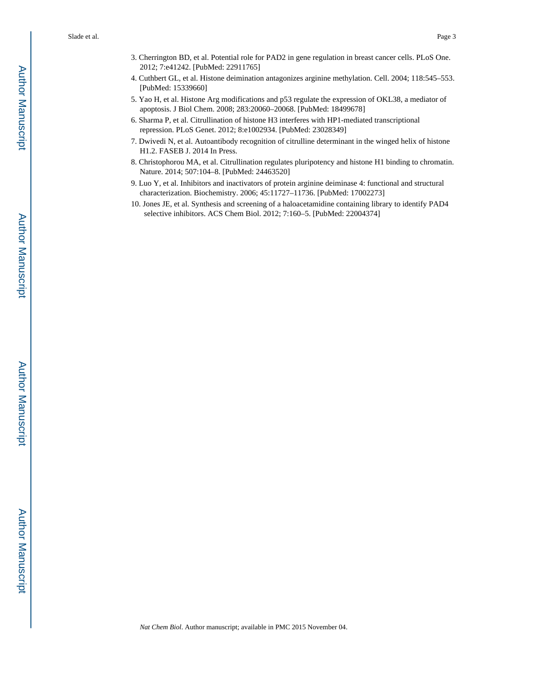Slade et al. Page 3

- 3. Cherrington BD, et al. Potential role for PAD2 in gene regulation in breast cancer cells. PLoS One. 2012; 7:e41242. [PubMed: 22911765]
- 4. Cuthbert GL, et al. Histone deimination antagonizes arginine methylation. Cell. 2004; 118:545–553. [PubMed: 15339660]
- 5. Yao H, et al. Histone Arg modifications and p53 regulate the expression of OKL38, a mediator of apoptosis. J Biol Chem. 2008; 283:20060–20068. [PubMed: 18499678]
- 6. Sharma P, et al. Citrullination of histone H3 interferes with HP1-mediated transcriptional repression. PLoS Genet. 2012; 8:e1002934. [PubMed: 23028349]
- 7. Dwivedi N, et al. Autoantibody recognition of citrulline determinant in the winged helix of histone H1.2. FASEB J. 2014 In Press.
- 8. Christophorou MA, et al. Citrullination regulates pluripotency and histone H1 binding to chromatin. Nature. 2014; 507:104–8. [PubMed: 24463520]
- 9. Luo Y, et al. Inhibitors and inactivators of protein arginine deiminase 4: functional and structural characterization. Biochemistry. 2006; 45:11727–11736. [PubMed: 17002273]
- 10. Jones JE, et al. Synthesis and screening of a haloacetamidine containing library to identify PAD4 selective inhibitors. ACS Chem Biol. 2012; 7:160–5. [PubMed: 22004374]